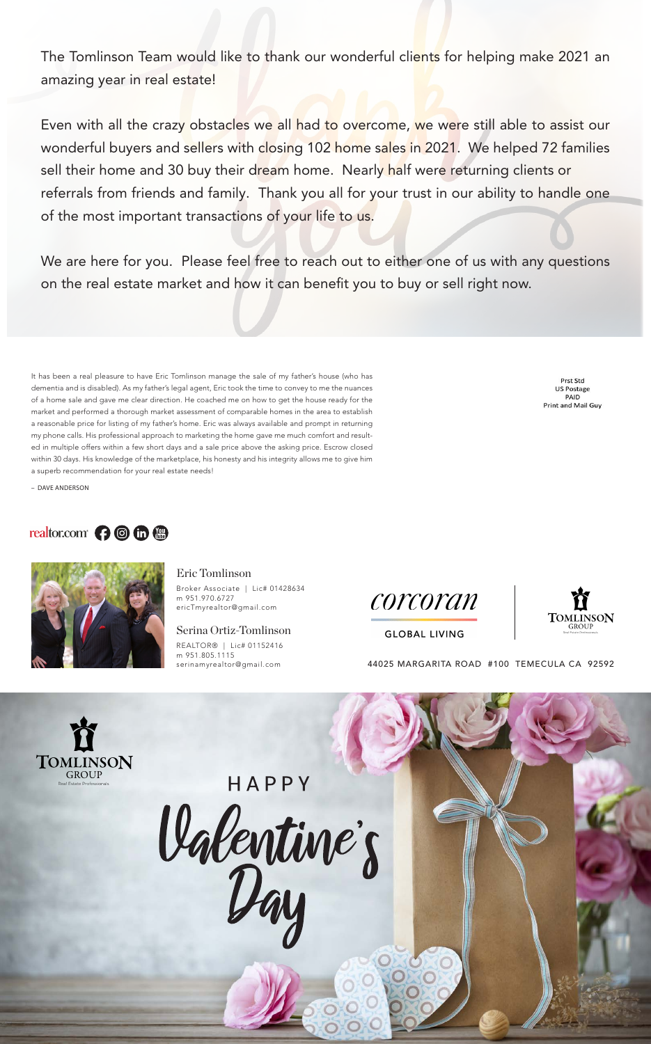It has been a real pleasure to have Eric Tomlinson manage the sale of my father's house (who has dementia and is disabled). As my father's legal agent, Eric took the time to convey to me the nuances of a home sale and gave me clear direction. He coached me on how to get the house ready for the market and performed a thorough market assessment of comparable homes in the area to establish a reasonable price for listing of my father's home. Eric was always available and prompt in returning my phone calls. His professional approach to marketing the home gave me much comfort and resulted in multiple offers within a few short days and a sale price above the asking price. Escrow closed within 30 days. His knowledge of the marketplace, his honesty and his integrity allows me to give him a superb recommendation for your real estate needs!

Prst Std **US Postage** PAID Print and Mail Guy

The Tomlinson Team would like to thank our wonderful clients for helping make 2021 an amazing year in real estate!

Even with all the crazy obstacles we all had to overcome, we were still able to assist our wonderful buyers and sellers with closing 102 home sales in 2021. We helped 72 families sell their home and 30 buy their dream home. Nearly half were returning clients or referrals from friends and family. Thank you all for your trust in our ability to handle one of the most important transactions of your life to us.

– DAVE ANDERSON

# realtor.com ? Of @



## Eric Tomlinson

Broker Associate | Lic# 01428634 m 951.970.6727 ericTmyrealtor@gmail.com

### Serina Ortiz-Tomlinson

REALTOR® | Lic# 01152416 m 951.805.1115





**GLOBAL LIVING** 

serinamyrealtor@gmail.com 44025 MARGARITA ROAD #100 TEMECULA CA 92592





# HAPPY Valentine's

We are here for you. Please feel free to reach out to either one of us with any questions on the real estate market and how it can benefit you to buy or sell right now.